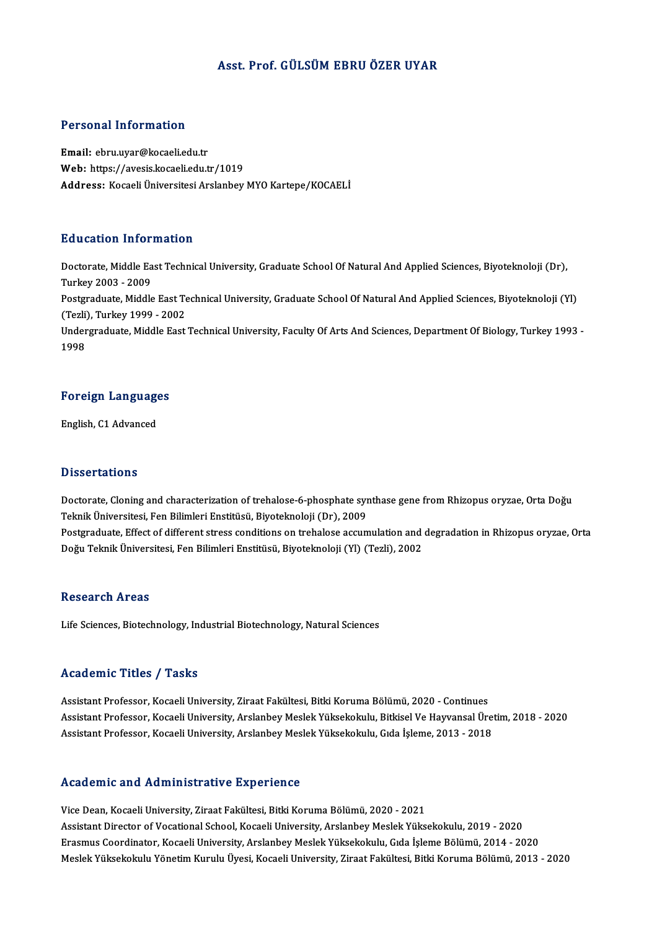# Asst. Prof. GÜLSÜMEBRUÖZER UYAR

# Personal Information

Email: ebru.uyar@kocaeli.edu.tr Web: https://avesis.kocaeli.edu.tr/1019 Address: Kocaeli Üniversitesi Arslanbey MYO Kartepe/KOCAELİ

# Education Information

**Education Information**<br>Doctorate, Middle East Technical University, Graduate School Of Natural And Applied Sciences, Biyoteknoloji (Dr),<br>Turkey 2002 - 2009 Turkey<br>Doctorate, Middle Ea<br>Turkey 2003 - 2009<br>Postavaduate, Middle Doctorate, Middle East Technical University, Graduate School Of Natural And Applied Sciences, Biyoteknoloji (Dr),<br>Turkey 2003 - 2009<br>Postgraduate, Middle East Technical University, Graduate School Of Natural And Applied Sc Turkey 2003 - 2009<br>Postgraduate, Middle East Te<br>(Tezli), Turkey 1999 - 2002<br>Undergraduate, Middle East Postgraduate, Middle East Technical University, Graduate School Of Natural And Applied Sciences, Biyoteknoloji (Yl)<br>(Tezli), Turkey 1999 - 2002<br>Undergraduate, Middle East Technical University, Faculty Of Arts And Sciences, (Tezli), Turkey 1999 - 2002<br>Undergraduate, Middle East Technical University, Faculty Of Arts And Sciences, Department Of Biology, Turkey 1993 -<br>1998

# 1<sup>998</sup><br>Foreign Languages <mark>Foreign Languag</mark><br>English, C1 Advanced

English, C1 Advanced<br>Dissertations

Dissertations<br>Doctorate, Cloning and characterization of trehalose-6-phosphate synthase gene from Rhizopus oryzae, Orta Doğu<br>Telmik Üniversitesi, Fen Bilimleri Enstitüsü, Biyotelmeleji (Dr.), 2009 Bissori tatronis<br>Doctorate, Cloning and characterization of trehalose-6-phosphate syn<br>Teknik Üniversitesi, Fen Bilimleri Enstitüsü, Biyoteknoloji (Dr), 2009<br>Postsraduate, Effect of different stress conditions en trebalese Doctorate, Cloning and characterization of trehalose-6-phosphate synthase gene from Rhizopus oryzae, Orta Doğu<br>Teknik Üniversitesi, Fen Bilimleri Enstitüsü, Biyoteknoloji (Dr), 2009<br>Postgraduate, Effect of different stress Teknik Üniversitesi, Fen Bilimleri Enstitüsü, Biyoteknoloji (Dr), 2009<br>Postgraduate, Effect of different stress conditions on trehalose accumulation and degradation in Rhizopus oryzae, Orta<br>Doğu Teknik Üniversitesi, Fen Bi

# Research Areas

Life Sciences, Biotechnology, Industrial Biotechnology, Natural Sciences

# Academic Titles / Tasks

Assistant Professor, Kocaeli University, Ziraat Fakültesi, Bitki Koruma Bölümü, 2020 - Continues Assistant Professor, Kocaeli University, Ziraat Fakültesi, Bitki Koruma Bölümü, 2020 - Continues<br>Assistant Professor, Kocaeli University, Arslanbey Meslek Yüksekokulu, Bitkisel Ve Hayvansal Üretim, 2018 - 2020<br>Assistant Pr Assistant Professor, Kocaeli University, Ziraat Fakültesi, Bitki Koruma Bölümü, 2020 - Continues<br>Assistant Professor, Kocaeli University, Arslanbey Meslek Yüksekokulu, Bitkisel Ve Hayvansal Üre<br>Assistant Professor, Kocaeli Assistant Professor, Kocaeli University, Arslanbey Meslek Yüksekokulu, Gıda İşleme, 2013 - 2018<br>Academic and Administrative Experience

ViceDean,KocaeliUniversity,ZiraatFakültesi,BitkiKorumaBölümü,2020 -2021 Assistant Director of Vocational School, Kocaeli University, Arslande, 2020 - 2021<br>Assistant Director of Vocational School, Kocaeli University, Arslanbey Meslek Yüksekokulu, 2019 - 2020<br>Ensemus Coordinator, Kosaeli Univers Vice Dean, Kocaeli University, Ziraat Fakültesi, Bitki Koruma Bölümü, 2020 - 2021<br>Assistant Director of Vocational School, Kocaeli University, Arslanbey Meslek Yüksekokulu, 2019 - 2020<br>Erasmus Coordinator, Kocaeli Universi Erasmus Coordinator, Kocaeli University, Arslanbey Meslek Yüksekokulu, Gıda İşleme Bölümü, 2014 - 2020<br>Meslek Yüksekokulu Yönetim Kurulu Üyesi, Kocaeli University, Ziraat Fakültesi, Bitki Koruma Bölümü, 2013 - 2020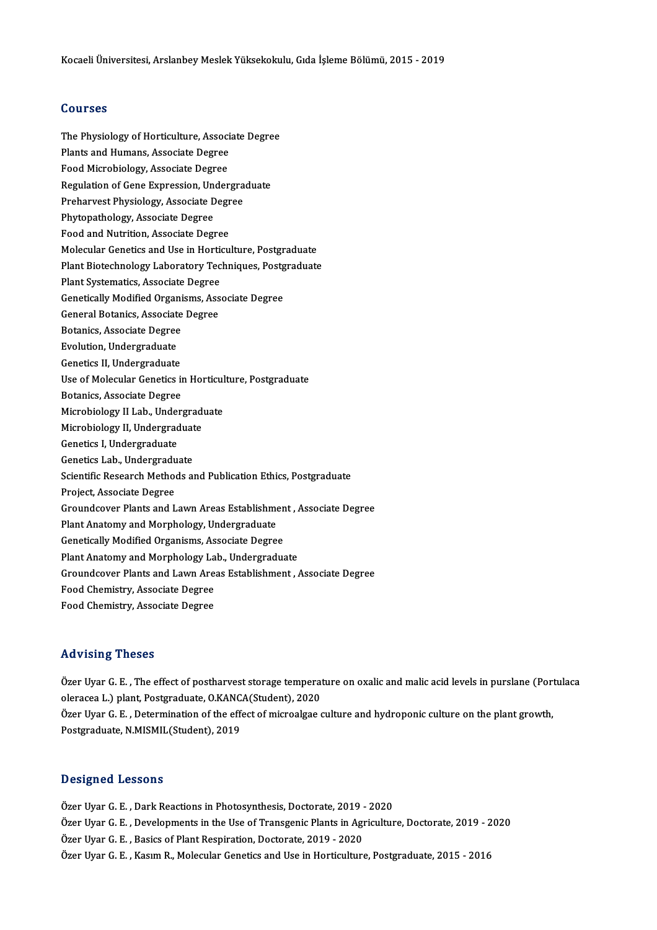## Courses

Courses<br>The Physiology of Horticulture, Associate Degree<br>Plants and Humans, Associate Degree **Pourbos<br>The Physiology of Horticulture, Associ<br>Plants and Humans, Associate Degree**<br>Food Misrobiology, Associate Degree The Physiology of Horticulture, Associ<br>Plants and Humans, Associate Degree<br>Food Microbiology, Associate Degree<br>Pegulation of Cane Expression, Under Plants and Humans, Associate Degree<br>Food Microbiology, Associate Degree<br>Regulation of Gene Expression, Undergraduate<br>Preharvest Physiology, Associate Degree Food Microbiology, Associate Degree<br>Regulation of Gene Expression, Undergra<br>Preharvest Physiology, Associate Degree<br>Phytopathology, Associate Degree Regulation of Gene Expression, Une<br>Preharvest Physiology, Associate D<br>Phytopathology, Associate Degree<br>Feed and Nutrition, Associate Degree Preharvest Physiology, Associate Degree<br>Phytopathology, Associate Degree<br>Food and Nutrition, Associate Degree Molecular Genetics and Use in Horticulture, Postgraduate Food and Nutrition, Associate Degree<br>Molecular Genetics and Use in Horticulture, Postgraduate<br>Plant Biotechnology Laboratory Techniques, Postgraduate<br>Plant Systematics, Associate Degree Molecular Genetics and Use in Hortic<br>Plant Biotechnology Laboratory Tec<br>Plant Systematics, Associate Degree Plant Biotechnology Laboratory Techniques, Postg<br>Plant Systematics, Associate Degree<br>Genetically Modified Organisms, Associate Degree Plant Systematics, Associate Degree<br>Genetically Modified Organisms, Associate Degree<br>General Botanics, Associate Degree **Genetically Modified Organi<br>General Botanics, Associate<br>Botanics, Associate Degree General Botanics, Associat<br>Botanics, Associate Degree<br>Evolution, Undergraduate** Botanics, Associate Degree<br>Evolution, Undergraduate<br>Genetics II, Undergraduate<br>Use of Molegylar Conetics i Evolution, Undergraduate<br>Genetics II, Undergraduate<br>Use of Molecular Genetics in Horticulture, Postgraduate<br>Petanics, Associate Degree **Genetics II, Undergraduate<br>Use of Molecular Genetics in<br>Botanics, Associate Degree**<br>Microbiology II Lab, Under Use of Molecular Genetics in Horticul<br>Botanics, Associate Degree<br>Microbiology II Lab., Undergraduate<br>Microbiology II Undergraduate Botanics, Associate Degree<br>Microbiology II Lab., Undergradu<br>Microbiology II, Undergraduate<br>Conaties L. Undergraduate Microbiology II Lab., Under<br>Microbiology II, Undergrad<br>Genetics I, Undergraduate<br>Constics Lab., Undergraduate Microbiology II, Undergraduat<br>Genetics I, Undergraduate<br>Genetics Lab., Undergraduate<br>Scientific Bessarsh Methods at Genetics I, Undergraduate<br>Genetics Lab., Undergraduate<br>Scientific Research Methods and Publication Ethics, Postgraduate<br>Project, Associate Degree Genetics Lab., Undergraduate Groundcover Plants and Lawn Areas Establishment, Associate Degree Project, Associate Degree<br>Groundcover Plants and Lawn Areas Establishme<br>Plant Anatomy and Morphology, Undergraduate<br>Cenetisally Modified Organisms, Associate Degree Groundcover Plants and Lawn Areas Establishmen<br>Plant Anatomy and Morphology, Undergraduate<br>Genetically Modified Organisms, Associate Degree<br>Plant Anatomy and Marphology Lab, Undergradua Plant Anatomy and Morphology, Undergraduate<br>Genetically Modified Organisms, Associate Degree<br>Plant Anatomy and Morphology Lab., Undergraduate<br>Croundeover Plants and Lavm Areas Establishment Genetically Modified Organisms, Associate Degree<br>Plant Anatomy and Morphology Lab., Undergraduate<br>Groundcover Plants and Lawn Areas Establishment , Associate Degree<br>Food Chemistry, Associate Degree Plant Anatomy and Morphology Lab., Undergraduate Food Chemistry, Associate Degree

# Advising Theses

Advising Theses<br>Özer Uyar G. E. , The effect of postharvest storage temperature on oxalic and malic acid levels in purslane (Portulaca<br>Skrasse J. ) plant, Pestareduate Q.KANCA(Student), 2020 oleracea L.) plant, Poster<br>Ozer Uyar G. E. , The effect of postharvest storage temperat<br>oleracea L.) plant, Postgraduate, O.KANCA(Student), 2020<br>Ozer Uyar C. E., Determination of the effect of microalges o Özer Uyar G. E. , The effect of postharvest storage temperature on oxalic and malic acid levels in purslane (Port<br>oleracea L.) plant, Postgraduate, O.KANCA(Student), 2020<br>Özer Uyar G. E. , Determination of the effect of mi oleracea L.) plant, Postgraduate, O.KANCA(Student), 2020<br>Özer Uyar G. E. , Determination of the effect of microalgae culture and hydroponic culture on the plant growth,<br>Postgraduate, N.MISMIL(Student), 2019

# Designed Lessons

Özer Uyar G. E., Dark Reactions in Photosynthesis, Doctorate, 2019 - 2020 Özer Uyar G. E., Developments in the Use of Transgenic Plants in Agriculture, Doctorate, 2019 - 2020 Özer Uyar G. E., Basics of Plant Respiration, Doctorate, 2019 - 2020 Özer Uyar G. E., Kasım R., Molecular Genetics and Use in Horticulture, Postgraduate, 2015 - 2016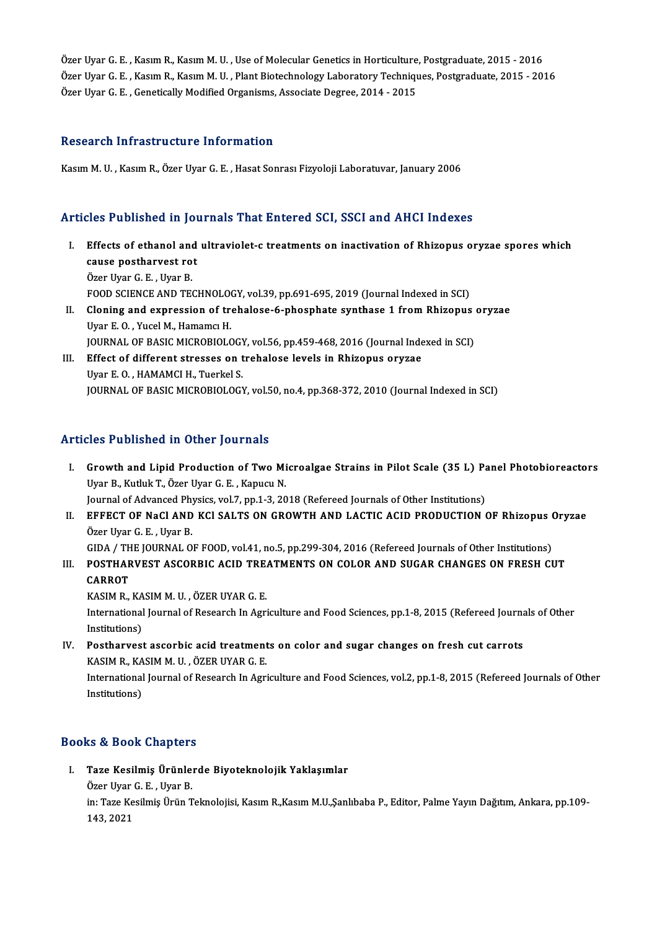Özer Uyar G. E., Kasım R., Kasım M. U., Use of Molecular Genetics in Horticulture, Postgraduate, 2015 - 2016 Özer Uyar G. E. , Kasım R., Kasım M. U. , Use of Molecular Genetics in Horticulture, Postgraduate, 2015 - 2016<br>Özer Uyar G. E. , Kasım R., Kasım M. U. , Plant Biotechnology Laboratory Techniques, Postgraduate, 2015 - 2016<br> Özer Uyar G. E. , Kasım R., Kasım M. U. , Use of Molecular Genetics in Horticulture<br>Özer Uyar G. E. , Kasım R., Kasım M. U. , Plant Biotechnology Laboratory Techniqı<br>Özer Uyar G. E. , Genetically Modified Organisms, Associ Özer Uyar G. E. , Genetically Modified Organisms, Associate Degree, 2014 - 2015<br>Research Infrastructure Information

KasımM.U. ,KasımR.,ÖzerUyarG.E. ,HasatSonrasıFizyolojiLaboratuvar, January2006

# Articles Published in Journals That Entered SCI, SSCI and AHCI Indexes

- rticles Published in Journals That Entered SCI, SSCI and AHCI Indexes<br>I. Effects of ethanol and ultraviolet-c treatments on inactivation of Rhizopus oryzae spores which<br>201180 postboruset ret Effects of ethanol and<br>cause postharvest rot<br>Orer Uver C.E., Uver P. Effects of ethanol and<br>cause postharvest ro<br>Özer Uyar G. E. , Uyar B.<br>FOOD SCIENCE AND TE cause postharvest rot<br>Özer Uyar G. E. , Uyar B.<br>FOOD SCIENCE AND TECHNOLOGY, vol.39, pp.691-695, 2019 (Journal Indexed in SCI)<br>Claring and aunuscsion of trabaloge 6 phosphate synthase 1 from Phisonys Özer Uyar G. E. , Uyar B.<br>FOOD SCIENCE AND TECHNOLOGY, vol.39, pp.691-695, 2019 (Journal Indexed in SCI)<br>II. Cloning and expression of trehalose-6-phosphate synthase 1 from Rhizopus oryzae<br>Uyar E. O. , Yucel M., Hamamcı H. FOOD SCIENCE AND TECHNOLO<br>Cloning and expression of tra<br>Uyar E. O. , Yucel M., Hamamcı H.<br>JOUPNAL OF PASIC MICPOPIOLO
- JOURNAL OF BASIC MICROBIOLOGY, vol.56, pp.459-468, 2016 (Journal Indexed in SCI) Uyar E. O. , Yucel M., Hamamcı H.<br>JOURNAL OF BASIC MICROBIOLOGY, vol.56, pp.459-468, 2016 (Journal Inde<br>III. Effect of different stresses on trehalose levels in Rhizopus oryzae<br>Urar E.O. HAMAMCLH, Tuarkel S.
- **JOURNAL OF BASIC MICROBIOLOGY<br>Effect of different stresses on t<br>Uyar E. O. , HAMAMCI H., Tuerkel S.<br>JOURNAL OF PASIC MICROPIOLOGY** Uyar E. O. , HAMAMCI H., Tuerkel S.<br>JOURNAL OF BASIC MICROBIOLOGY, vol.50, no.4, pp.368-372, 2010 (Journal Indexed in SCI)

# Articles Published in Other Journals

- rticles Published in Other Journals<br>I. Growth and Lipid Production of Two Microalgae Strains in Pilot Scale (35 L) Panel Photobioreactors<br>Uran B. Kuthk T. Özer Uran C. E. Kapugu N Growth and Lipid Production of Two Mi<br>Uyar B., Kutluk T., Özer Uyar G. E., Kapucu N.<br>Journal of Advanced Physics, vol 7, pp. 1, 2, 20 Growth and Lipid Production of Two Microalgae Strains in Pilot Scale (35 L) Pa<br>Uyar B., Kutluk T., Özer Uyar G. E. , Kapucu N.<br>Journal of Advanced Physics, vol.7, pp.1-3, 2018 (Refereed Journals of Other Institutions)<br>FEEE Uyar B., Kutluk T., Özer Uyar G. E. , Kapucu N.<br>Journal of Advanced Physics, vol.7, pp.1-3, 2018 (Refereed Journals of Other Institutions)<br>II. EFFECT OF NaCl AND KCl SALTS ON GROWTH AND LACTIC ACID PRODUCTION OF Rhizopus O
- Journal of Advanced Phy<br>EFFECT OF NaCl AND<br>Özer Uyar G. E. , Uyar B.<br>CIDA / THE JOUPNAL O EFFECT OF NaCl AND KCl SALTS ON GROWTH AND LACTIC ACID PRODUCTION OF Rhizopus (<br>Özer Uyar G. E. , Uyar B.<br>GIDA / THE JOURNAL OF FOOD, vol.41, no.5, pp.299-304, 2016 (Refereed Journals of Other Institutions)<br>POSTHAPVEST ASC GIDA / THE JOURNAL OF FOOD, vol.41, no.5, pp.299-304, 2016 (Refereed Journals of Other Institutions)
- Özer Uyar G. E. , Uyar B.<br>GIDA / THE JOURNAL OF FOOD, vol.41, no.5, pp.299-304, 2016 (Refereed Journals of Other Institutions)<br>III. POSTHARVEST ASCORBIC ACID TREATMENTS ON COLOR AND SUGAR CHANGES ON FRESH CUT<br>CARROT POSTHARVEST ASCORBIC ACID TRE<br>CARROT<br>KASIM R., KASIM M. U. , ÖZER UYAR G. E.<br>International Journal of Besearch In Agri

International Journal of Research In Agriculture and Food Sciences, pp.1-8, 2015 (Refereed Journals of Other<br>Institutions) KASIM R., KA<br>International<br>Institutions)<br>Postbaryosi International Journal of Research In Agriculture and Food Sciences, pp.1-8, 2015 (Refereed Journal<br>IN. Postharvest ascorbic acid treatments on color and sugar changes on fresh cut carrots<br>EXASIM D. FASIM M.U., ÖZER UVAR C.

Institutions)<br><mark>Postharvest ascorbic acid treatment</mark><br>KASIM R., KASIM M. U. , ÖZER UYAR G. E.<br>International Journal of Beseersh In Agri Postharvest ascorbic acid treatments on color and sugar changes on fresh cut carrots<br>KASIM R., KASIM M. U. , ÖZER UYAR G. E.<br>International Journal of Research In Agriculture and Food Sciences, vol.2, pp.1-8, 2015 (Refereed

KASIM R., KASIM M. U. , ÖZER UYAR G. E.<br>International Journal of Research In Agriculture and Food Sciences, vol.2, pp.1-8, 2015 (Refereed Journals of Other<br>Institutions)

# Books&Book Chapters

ooks & Book Chapters<br>I. Taze Kesilmiş Ürünlerde Biyoteknolojik Yaklaşımlar<br>Özer Uran G. E. Uran P to & Dook Unapter<br>Taze Kesilmiş Ürünle:<br>Özer Uyar G. E. , Uyar B.<br>in: Tare Kesilmiş Ürün T

Taze Kesilmiş Ürünlerde Biyoteknolojik Yaklaşımlar<br>Özer Uyar G. E. , Uyar B.<br>in: Taze Kesilmiş Ürün Teknolojisi, Kasım R.,Kasım M.U.,Şanlıbaba P., Editor, Palme Yayın Dağıtım, Ankara, pp.109-Özer Uyar<br>in: Taze K<br>143, 2021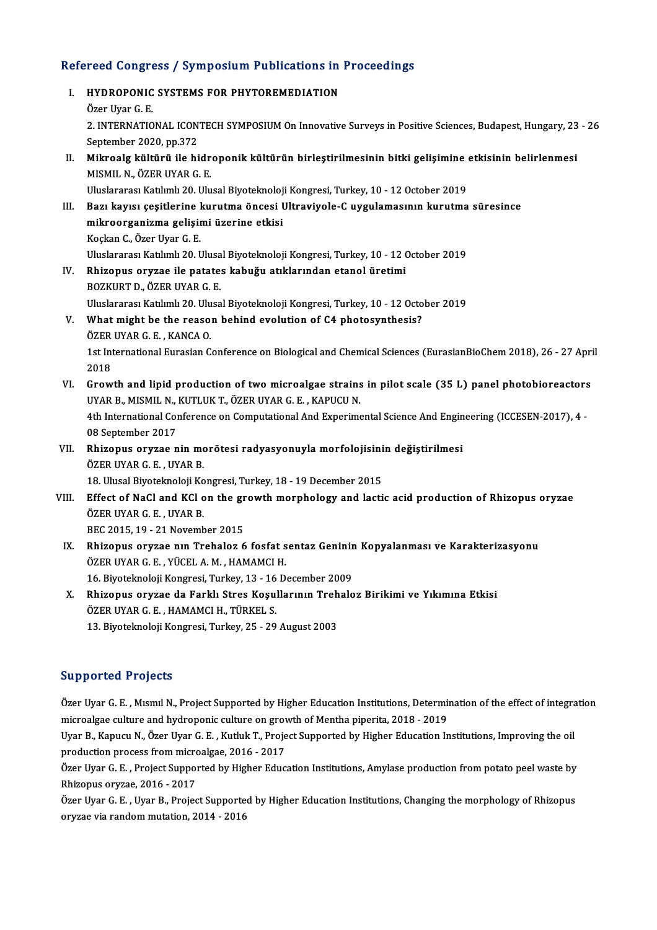# Refereed Congress / Symposium Publications in Proceedings<br>Refereed Congress / Symposium Publications in Proceedings

| Refereed Congress / Symposium Publications in Proceedings |                                                                                                                                                                 |
|-----------------------------------------------------------|-----------------------------------------------------------------------------------------------------------------------------------------------------------------|
| L.                                                        | HYDROPONIC SYSTEMS FOR PHYTOREMEDIATION                                                                                                                         |
|                                                           | Özer Uyar G E                                                                                                                                                   |
|                                                           | 2. INTERNATIONAL ICONTECH SYMPOSIUM On Innovative Surveys in Positive Sciences, Budapest, Hungary, 23 - 26<br>September 2020, pp 372                            |
| Н.                                                        | Mikroalg kültürü ile hidroponik kültürün birleştirilmesinin bitki gelişimine etkisinin belirlenmesi<br>MISMIL N., ÖZER UYAR G. E.                               |
|                                                           | Uluslararası Katılımlı 20. Ulusal Biyoteknoloji Kongresi, Turkey, 10 - 12 October 2019                                                                          |
| III.                                                      | Bazı kayısı çeşitlerine kurutma öncesi Ultraviyole-C uygulamasının kurutma süresince                                                                            |
|                                                           | mikroorganizma gelişimi üzerine etkisi                                                                                                                          |
|                                                           | Koçkan C., Özer Uyar G. E.                                                                                                                                      |
|                                                           | Uluslararası Katılımlı 20. Ulusal Biyoteknoloji Kongresi, Turkey, 10 - 12 October 2019                                                                          |
| IV.                                                       | Rhizopus oryzae ile patates kabuğu atıklarından etanol üretimi                                                                                                  |
|                                                           | BOZKURT D., ÖZER UYAR G. E.                                                                                                                                     |
|                                                           | Uluslararası Katılımlı 20. Ulusal Biyoteknoloji Kongresi, Turkey, 10 - 12 October 2019                                                                          |
| V.                                                        | What might be the reason behind evolution of C4 photosynthesis?                                                                                                 |
|                                                           | ÖZER UYAR G E , KANCA O                                                                                                                                         |
|                                                           | 1st International Eurasian Conference on Biological and Chemical Sciences (EurasianBioChem 2018), 26 - 27 April                                                 |
|                                                           | 2018                                                                                                                                                            |
| VI.                                                       | Growth and lipid production of two microalgae strains in pilot scale (35 L) panel photobioreactors<br>UYAR B., MISMIL N., KUTLUK T., ÖZER UYAR G. E., KAPUCU N. |
|                                                           | 4th International Conference on Computational And Experimental Science And Engineering (ICCESEN-2017), 4 -                                                      |
|                                                           | 08 September 2017                                                                                                                                               |
| VII.                                                      | Rhizopus oryzae nin morötesi radyasyonuyla morfolojisinin değiştirilmesi                                                                                        |
|                                                           | ÖZER UYAR G. E., UYAR B.                                                                                                                                        |
|                                                           | 18. Ulusal Biyoteknoloji Kongresi, Turkey, 18 - 19 December 2015                                                                                                |
| VIII.                                                     | Effect of NaCl and KCl on the growth morphology and lactic acid production of Rhizopus oryzae                                                                   |
|                                                           | ÖZER UYAR G. E., UYAR B.                                                                                                                                        |
|                                                           | BEC 2015, 19 - 21 November 2015                                                                                                                                 |
| IX.                                                       | Rhizopus oryzae nin Trehaloz 6 fosfat sentaz Geninin Kopyalanması ve Karakterizasyonu                                                                           |
|                                                           | ÖZER UYAR G. E., YÜCEL A. M., HAMAMCI H.                                                                                                                        |
|                                                           | 16. Biyoteknoloji Kongresi, Turkey, 13 - 16 December 2009                                                                                                       |
| X.                                                        | Rhizopus oryzae da Farklı Stres Koşullarının Trehaloz Birikimi ve Yıkımına Etkisi                                                                               |
|                                                           | ÖZER UYAR G. E., HAMAMCI H., TÜRKEL S.                                                                                                                          |

13. Biyoteknoloji Kongresi, Turkey, 25 - 29 August 2003

# Supported Projects

Supported Projects<br>Özer Uyar G. E. , Mısmıl N., Project Supported by Higher Education Institutions, Determination of the effect of integration<br>misroelsee sulture and bydnapenis sulture en greyth of Mantha pinerita 2019, 20 Bupported Trojects<br>Özer Uyar G. E. , Mısmıl N., Project Supported by Higher Education Institutions, Determi<br>microalgae culture and hydroponic culture on growth of Mentha piperita, 2018 - 2019<br>Uran B. Konugu N. Özer Uran G. Özer Uyar G. E. , Mısmıl N., Project Supported by Higher Education Institutions, Determination of the effect of integra<br>microalgae culture and hydroponic culture on growth of Mentha piperita, 2018 - 2019<br>Uyar B., Kapucu N.

microalgae culture and hydroponic culture on grov<br>Uyar B., Kapucu N., Özer Uyar G. E. , Kutluk T., Proje<br>production process from microalgae, 2016 - 2017<br>Özer Uyar G. E., Project Sunnerted by Higher Educ Uyar B., Kapucu N., Özer Uyar G. E. , Kutluk T., Project Supported by Higher Education Institutions, Improving the oil<br>production process from microalgae, 2016 - 2017<br>Özer Uyar G. E. , Project Supported by Higher Education

production process from microalgae, 2016 - 2017<br>Özer Uyar G. E. , Project Supported by Higher Educ<br>Rhizopus oryzae, 2016 - 2017 Özer Uyar G. E. , Project Supported by Higher Education Institutions, Amylase production from potato peel waste by<br>Rhizopus oryzae, 2016 - 2017<br>Özer Uyar G. E. , Uyar B., Project Supported by Higher Education Institutions,

Özer Uyar G. E. , Uyar B., Project Supported by Higher Education Institutions, Changing the morphology of Rhizopus<br>oryzae via random mutation, 2014 - 2016